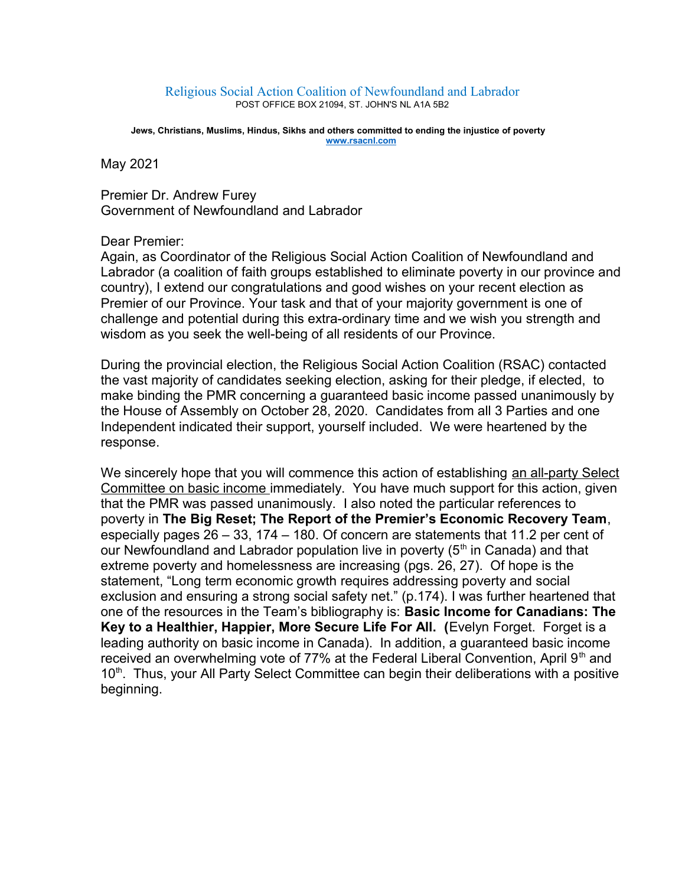## Religious Social Action Coalition of Newfoundland and Labrador POST OFFICE BOX 21094, ST. JOHN'S NL A1A 5B2

 **Jews, Christians, Muslims, Hindus, Sikhs and others committed to ending the injustice of poverty [www.rsacnl.com](http://www.rsacnl.com/)**

May 2021

Premier Dr. Andrew Furey Government of Newfoundland and Labrador

## Dear Premier:

Again, as Coordinator of the Religious Social Action Coalition of Newfoundland and Labrador (a coalition of faith groups established to eliminate poverty in our province and country), I extend our congratulations and good wishes on your recent election as Premier of our Province. Your task and that of your majority government is one of challenge and potential during this extra-ordinary time and we wish you strength and wisdom as you seek the well-being of all residents of our Province.

During the provincial election, the Religious Social Action Coalition (RSAC) contacted the vast majority of candidates seeking election, asking for their pledge, if elected, to make binding the PMR concerning a guaranteed basic income passed unanimously by the House of Assembly on October 28, 2020. Candidates from all 3 Parties and one Independent indicated their support, yourself included. We were heartened by the response.

We sincerely hope that you will commence this action of establishing an all-party Select Committee on basic income immediately. You have much support for this action, given that the PMR was passed unanimously. I also noted the particular references to poverty in **The Big Reset; The Report of the Premier's Economic Recovery Team**, especially pages 26 – 33, 174 – 180. Of concern are statements that 11.2 per cent of our Newfoundland and Labrador population live in poverty  $(5<sup>th</sup>$  in Canada) and that extreme poverty and homelessness are increasing (pgs. 26, 27). Of hope is the statement, "Long term economic growth requires addressing poverty and social exclusion and ensuring a strong social safety net." (p.174). I was further heartened that one of the resources in the Team's bibliography is: **Basic Income for Canadians: The Key to a Healthier, Happier, More Secure Life For All. (**Evelyn Forget. Forget is a leading authority on basic income in Canada). In addition, a guaranteed basic income received an overwhelming vote of 77% at the Federal Liberal Convention, April  $9<sup>th</sup>$  and  $10<sup>th</sup>$ . Thus, your All Party Select Committee can begin their deliberations with a positive beginning.